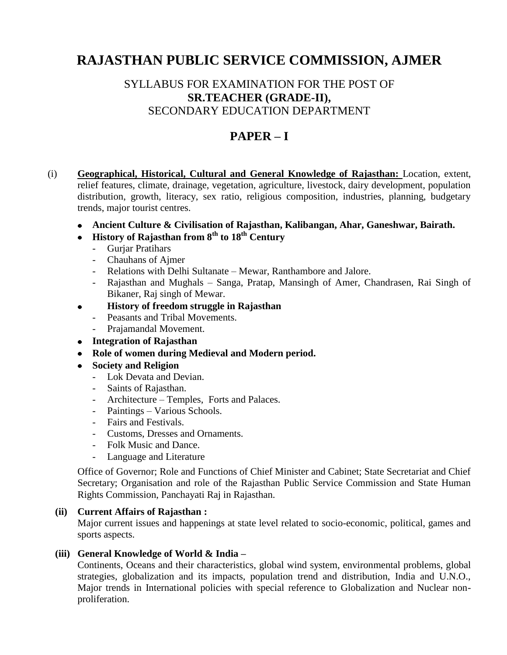# **RAJASTHAN PUBLIC SERVICE COMMISSION, AJMER**

## SYLLABUS FOR EXAMINATION FOR THE POST OF **SR.TEACHER (GRADE-II),**  SECONDARY EDUCATION DEPARTMENT

# **PAPER – I**

- (i) **Geographical, Historical, Cultural and General Knowledge of Rajasthan:** Location, extent, relief features, climate, drainage, vegetation, agriculture, livestock, dairy development, population distribution, growth, literacy, sex ratio, religious composition, industries, planning, budgetary trends, major tourist centres.
	- **Ancient Culture & Civilisation of Rajasthan, Kalibangan, Ahar, Ganeshwar, Bairath.**
	- **History of Rajasthan from 8th to 18th Century**
		- Gurjar Pratihars
		- Chauhans of Ajmer
		- Relations with Delhi Sultanate Mewar, Ranthambore and Jalore.
		- Rajasthan and Mughals Sanga, Pratap, Mansingh of Amer, Chandrasen, Rai Singh of Bikaner, Raj singh of Mewar.

#### **History of freedom struggle in Rajasthan**   $\bullet$

- Peasants and Tribal Movements.
- Prajamandal Movement.
- **Integration of Rajasthan**
- **Role of women during Medieval and Modern period.**
- **Society and Religion**
	- Lok Devata and Devian.
	- Saints of Rajasthan.
	- Architecture Temples, Forts and Palaces.
	- Paintings Various Schools.
	- Fairs and Festivals.
	- Customs, Dresses and Ornaments.
	- Folk Music and Dance.
	- Language and Literature

Office of Governor; Role and Functions of Chief Minister and Cabinet; State Secretariat and Chief Secretary; Organisation and role of the Rajasthan Public Service Commission and State Human Rights Commission, Panchayati Raj in Rajasthan.

### **(ii) Current Affairs of Rajasthan :**

Major current issues and happenings at state level related to socio-economic, political, games and sports aspects.

### **(iii) General Knowledge of World & India –**

Continents, Oceans and their characteristics, global wind system, environmental problems, global strategies, globalization and its impacts, population trend and distribution, India and U.N.O., Major trends in International policies with special reference to Globalization and Nuclear nonproliferation.